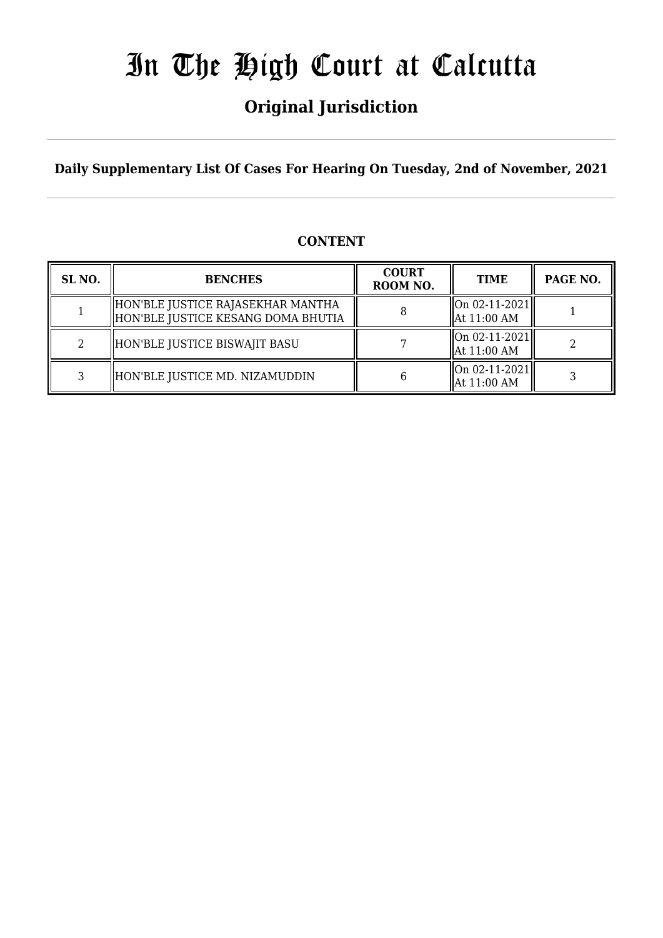## **Original Jurisdiction**

**Daily Supplementary List Of Cases For Hearing On Tuesday, 2nd of November, 2021**

### **CONTENT**

| SL <sub>NO.</sub> | <b>BENCHES</b>                                                          | <b>COURT</b><br>ROOM NO. | <b>TIME</b>                    | PAGE NO. |
|-------------------|-------------------------------------------------------------------------|--------------------------|--------------------------------|----------|
|                   | HON'BLE JUSTICE RAJASEKHAR MANTHA<br>HON'BLE JUSTICE KESANG DOMA BHUTIA |                          | On 02-11-2021<br>  At 11:00 AM |          |
|                   | HON'BLE JUSTICE BISWAJIT BASU                                           |                          | On 02-11-2021<br>  At 11:00 AM |          |
|                   | HON'BLE JUSTICE MD. NIZAMUDDIN                                          |                          | On 02-11-2021<br>At 11:00 AM   |          |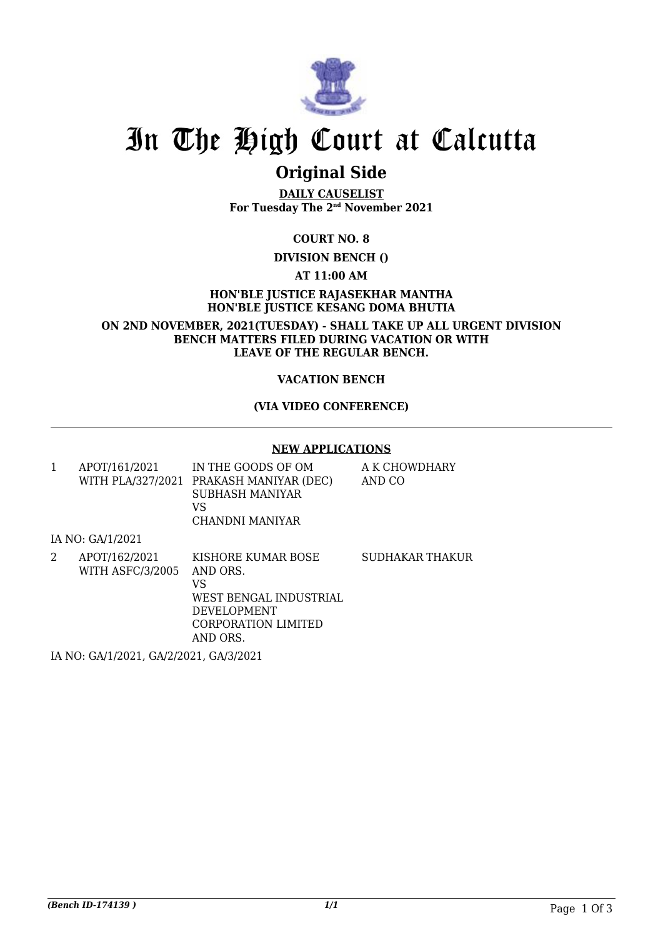

## **Original Side**

**DAILY CAUSELIST For Tuesday The 2nd November 2021**

**COURT NO. 8**

**DIVISION BENCH ()**

**AT 11:00 AM**

**HON'BLE JUSTICE RAJASEKHAR MANTHA HON'BLE JUSTICE KESANG DOMA BHUTIA**

**ON 2ND NOVEMBER, 2021(TUESDAY) - SHALL TAKE UP ALL URGENT DIVISION BENCH MATTERS FILED DURING VACATION OR WITH LEAVE OF THE REGULAR BENCH.**

#### **VACATION BENCH**

#### **(VIA VIDEO CONFERENCE)**

#### **NEW APPLICATIONS**

| APOT/161/2021 | IN THE GOODS OF OM<br>WITH PLA/327/2021 PRAKASH MANIYAR (DEC)<br>SUBHASH MANIYAR<br>VS<br>CHANDNI MANIYAR | A K CHOWDHARY<br>AND CO |
|---------------|-----------------------------------------------------------------------------------------------------------|-------------------------|
|               |                                                                                                           |                         |

2 APOT/162/2021 WITH ASFC/3/2005 KISHORE KUMAR BOSE AND ORS. VS WEST BENGAL INDUSTRIAL DEVELOPMENT CORPORATION LIMITED AND ORS. SUDHAKAR THAKUR

IA NO: GA/1/2021, GA/2/2021, GA/3/2021

IA NO: GA/1/2021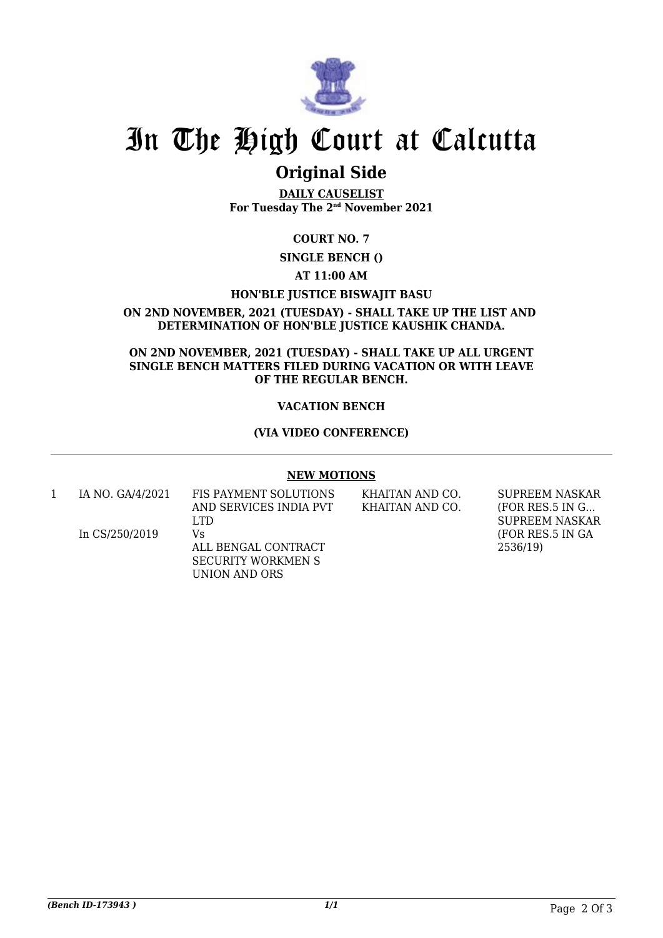

### **Original Side**

**DAILY CAUSELIST For Tuesday The 2nd November 2021**

### **COURT NO. 7**

**SINGLE BENCH ()**

#### **AT 11:00 AM**

#### **HON'BLE JUSTICE BISWAJIT BASU**

#### **ON 2ND NOVEMBER, 2021 (TUESDAY) - SHALL TAKE UP THE LIST AND DETERMINATION OF HON'BLE JUSTICE KAUSHIK CHANDA.**

#### **ON 2ND NOVEMBER, 2021 (TUESDAY) - SHALL TAKE UP ALL URGENT SINGLE BENCH MATTERS FILED DURING VACATION OR WITH LEAVE OF THE REGULAR BENCH.**

#### **VACATION BENCH**

#### **(VIA VIDEO CONFERENCE)**

#### **NEW MOTIONS**

| IA NO. GA/4/2021 | FIS PAYMENT SOLUTIONS<br>AND SERVICES INDIA PVT                                 | KHAITAN AND CO.<br>KHAITAN AND CO. | <b>SUPREEM NASKAR</b><br>(FOR RES.5 IN G              |
|------------------|---------------------------------------------------------------------------------|------------------------------------|-------------------------------------------------------|
| In $CS/250/2019$ | LTD.<br>Vs<br>ALL BENGAL CONTRACT<br><b>SECURITY WORKMEN S</b><br>UNION AND ORS |                                    | <b>SUPREEM NASKAR</b><br>(FOR RES.5 IN GA<br>2536/19) |